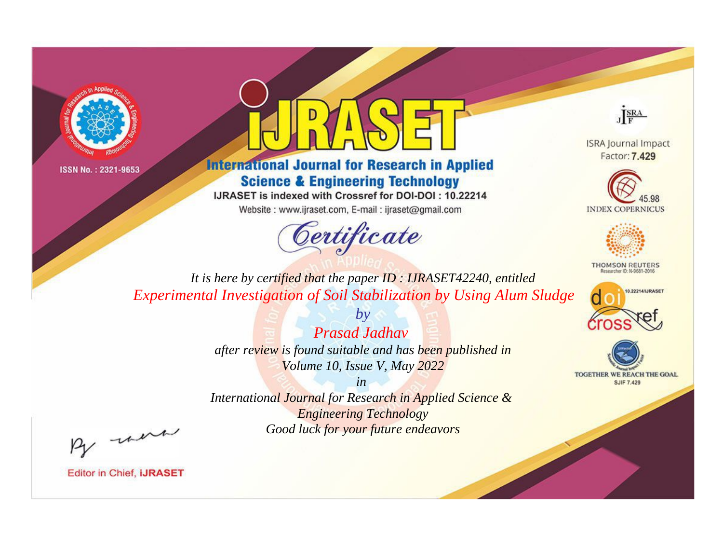



**International Journal for Research in Applied Science & Engineering Technology** 

IJRASET is indexed with Crossref for DOI-DOI: 10.22214

Website: www.ijraset.com, E-mail: ijraset@gmail.com



JERA

**ISRA Journal Impact** Factor: 7.429





**THOMSON REUTERS** 



TOGETHER WE REACH THE GOAL **SJIF 7.429** 

*It is here by certified that the paper ID : IJRASET42240, entitled Experimental Investigation of Soil Stabilization by Using Alum Sludge*

> *by Prasad Jadhav after review is found suitable and has been published in Volume 10, Issue V, May 2022*

> > *in*

*International Journal for Research in Applied Science & Engineering Technology Good luck for your future endeavors*

By morn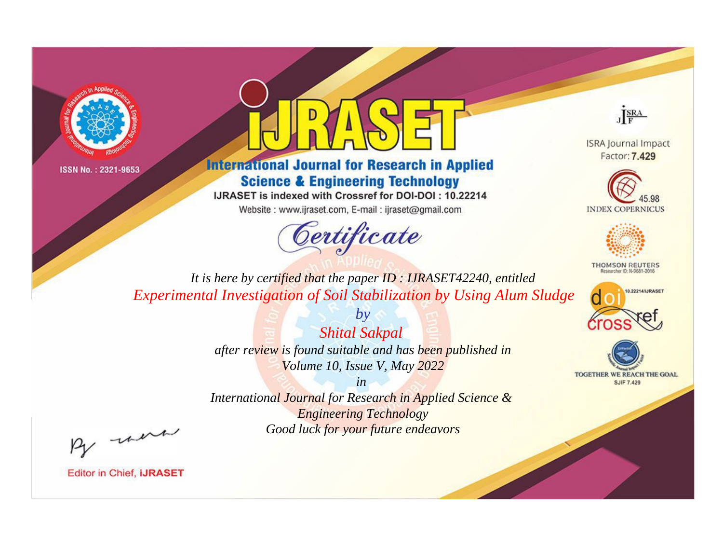



**International Journal for Research in Applied Science & Engineering Technology** 

IJRASET is indexed with Crossref for DOI-DOI: 10.22214

Website: www.ijraset.com, E-mail: ijraset@gmail.com



JERA

**ISRA Journal Impact** Factor: 7.429





**THOMSON REUTERS** 



TOGETHER WE REACH THE GOAL **SJIF 7.429** 

*It is here by certified that the paper ID : IJRASET42240, entitled Experimental Investigation of Soil Stabilization by Using Alum Sludge*

> *Shital Sakpal after review is found suitable and has been published in Volume 10, Issue V, May 2022*

*by*

*in* 

*International Journal for Research in Applied Science & Engineering Technology Good luck for your future endeavors*

By morn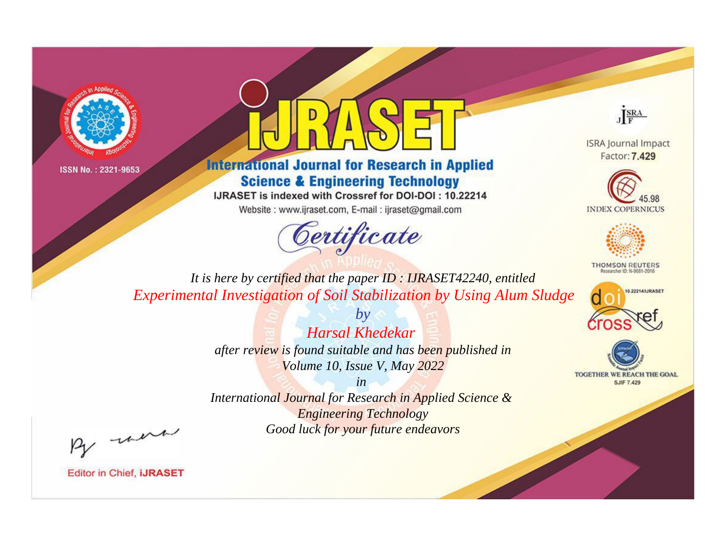



**International Journal for Research in Applied Science & Engineering Technology** 

IJRASET is indexed with Crossref for DOI-DOI: 10.22214

Website: www.ijraset.com, E-mail: ijraset@gmail.com



JERA

**ISRA Journal Impact** Factor: 7.429





**THOMSON REUTERS** 



TOGETHER WE REACH THE GOAL **SJIF 7.429** 

*It is here by certified that the paper ID : IJRASET42240, entitled Experimental Investigation of Soil Stabilization by Using Alum Sludge*

> *by Harsal Khedekar after review is found suitable and has been published in Volume 10, Issue V, May 2022*

> > *in*

*International Journal for Research in Applied Science & Engineering Technology Good luck for your future endeavors*

By morn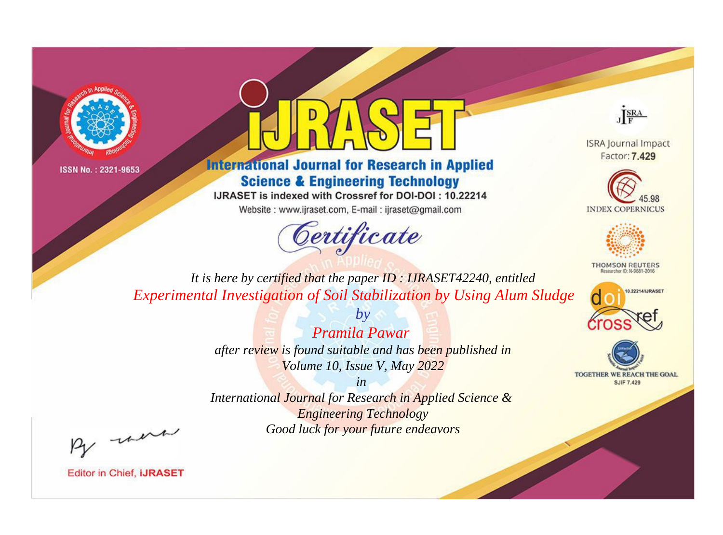



**International Journal for Research in Applied Science & Engineering Technology** 

IJRASET is indexed with Crossref for DOI-DOI: 10.22214

Website: www.ijraset.com, E-mail: ijraset@gmail.com



JERA

**ISRA Journal Impact** Factor: 7.429





**THOMSON REUTERS** 



TOGETHER WE REACH THE GOAL **SJIF 7.429** 

*It is here by certified that the paper ID : IJRASET42240, entitled Experimental Investigation of Soil Stabilization by Using Alum Sludge*

> *Pramila Pawar after review is found suitable and has been published in Volume 10, Issue V, May 2022*

*by*

*in* 

*International Journal for Research in Applied Science & Engineering Technology Good luck for your future endeavors*

By morn